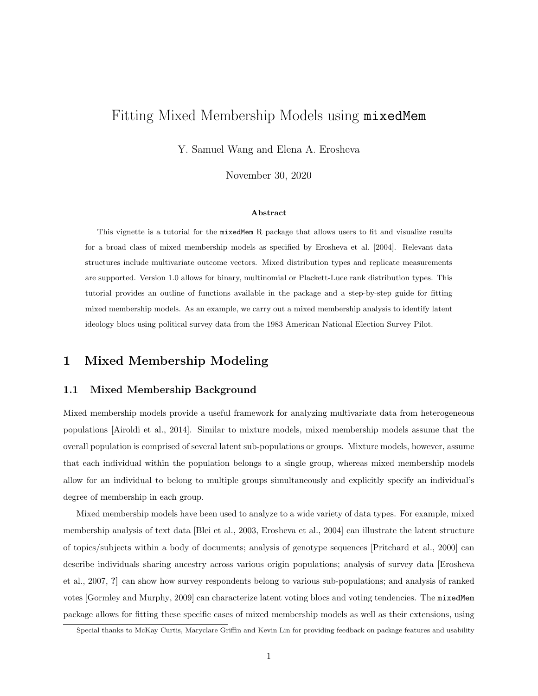# Fitting Mixed Membership Models using mixedMem

Y. Samuel Wang and Elena A. Erosheva

November 30, 2020

#### Abstract

This vignette is a tutorial for the mixedMem R package that allows users to fit and visualize results for a broad class of mixed membership models as specified by Erosheva et al. [2004]. Relevant data structures include multivariate outcome vectors. Mixed distribution types and replicate measurements are supported. Version 1.0 allows for binary, multinomial or Plackett-Luce rank distribution types. This tutorial provides an outline of functions available in the package and a step-by-step guide for fitting mixed membership models. As an example, we carry out a mixed membership analysis to identify latent ideology blocs using political survey data from the 1983 American National Election Survey Pilot.

# 1 Mixed Membership Modeling

### 1.1 Mixed Membership Background

Mixed membership models provide a useful framework for analyzing multivariate data from heterogeneous populations [Airoldi et al., 2014]. Similar to mixture models, mixed membership models assume that the overall population is comprised of several latent sub-populations or groups. Mixture models, however, assume that each individual within the population belongs to a single group, whereas mixed membership models allow for an individual to belong to multiple groups simultaneously and explicitly specify an individual's degree of membership in each group.

Mixed membership models have been used to analyze to a wide variety of data types. For example, mixed membership analysis of text data [Blei et al., 2003, Erosheva et al., 2004] can illustrate the latent structure of topics/subjects within a body of documents; analysis of genotype sequences [Pritchard et al., 2000] can describe individuals sharing ancestry across various origin populations; analysis of survey data [Erosheva et al., 2007, ?] can show how survey respondents belong to various sub-populations; and analysis of ranked votes [Gormley and Murphy, 2009] can characterize latent voting blocs and voting tendencies. The mixedMem package allows for fitting these specific cases of mixed membership models as well as their extensions, using

Special thanks to McKay Curtis, Maryclare Griffin and Kevin Lin for providing feedback on package features and usability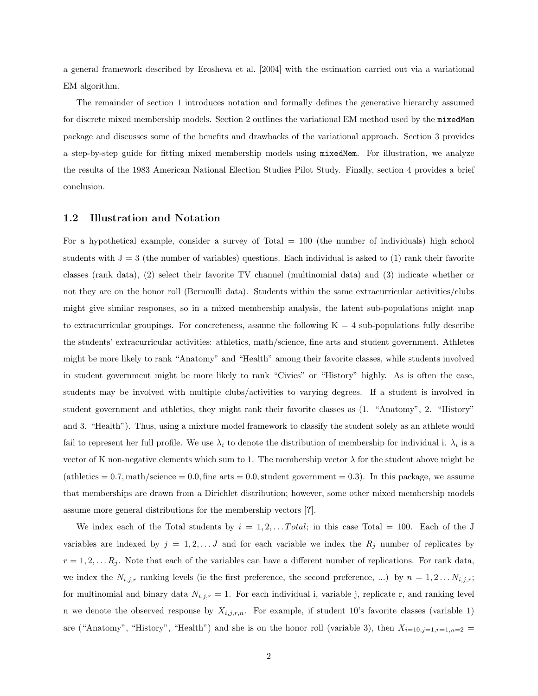a general framework described by Erosheva et al. [2004] with the estimation carried out via a variational EM algorithm.

The remainder of section 1 introduces notation and formally defines the generative hierarchy assumed for discrete mixed membership models. Section 2 outlines the variational EM method used by the mixedMem package and discusses some of the benefits and drawbacks of the variational approach. Section 3 provides a step-by-step guide for fitting mixed membership models using mixedMem. For illustration, we analyze the results of the 1983 American National Election Studies Pilot Study. Finally, section 4 provides a brief conclusion.

## 1.2 Illustration and Notation

For a hypothetical example, consider a survey of Total = 100 (the number of individuals) high school students with  $J = 3$  (the number of variables) questions. Each individual is asked to (1) rank their favorite classes (rank data), (2) select their favorite TV channel (multinomial data) and (3) indicate whether or not they are on the honor roll (Bernoulli data). Students within the same extracurricular activities/clubs might give similar responses, so in a mixed membership analysis, the latent sub-populations might map to extracurricular groupings. For concreteness, assume the following  $K = 4$  sub-populations fully describe the students' extracurricular activities: athletics, math/science, fine arts and student government. Athletes might be more likely to rank "Anatomy" and "Health" among their favorite classes, while students involved in student government might be more likely to rank "Civics" or "History" highly. As is often the case, students may be involved with multiple clubs/activities to varying degrees. If a student is involved in student government and athletics, they might rank their favorite classes as (1. "Anatomy", 2. "History" and 3. "Health"). Thus, using a mixture model framework to classify the student solely as an athlete would fail to represent her full profile. We use  $\lambda_i$  to denote the distribution of membership for individual i.  $\lambda_i$  is a vector of K non-negative elements which sum to 1. The membership vector  $\lambda$  for the student above might be (athletics  $= 0.7$ , math/science  $= 0.0$ , fine arts  $= 0.0$ , student government  $= 0.3$ ). In this package, we assume that memberships are drawn from a Dirichlet distribution; however, some other mixed membership models assume more general distributions for the membership vectors [?].

We index each of the Total students by  $i = 1, 2, \ldots Total$ ; in this case Total = 100. Each of the J variables are indexed by  $j = 1, 2, \ldots, J$  and for each variable we index the  $R_j$  number of replicates by  $r = 1, 2, \ldots R_j$ . Note that each of the variables can have a different number of replications. For rank data, we index the  $N_{i,j,r}$  ranking levels (ie the first preference, the second preference, ...) by  $n = 1, 2...N_{i,j,r}$ ; for multinomial and binary data  $N_{i,j,r} = 1$ . For each individual i, variable j, replicate r, and ranking level n we denote the observed response by  $X_{i,j,r,n}$ . For example, if student 10's favorite classes (variable 1) are ("Anatomy", "History", "Health") and she is on the honor roll (variable 3), then  $X_{i=10,j=1,r=1,n=2}$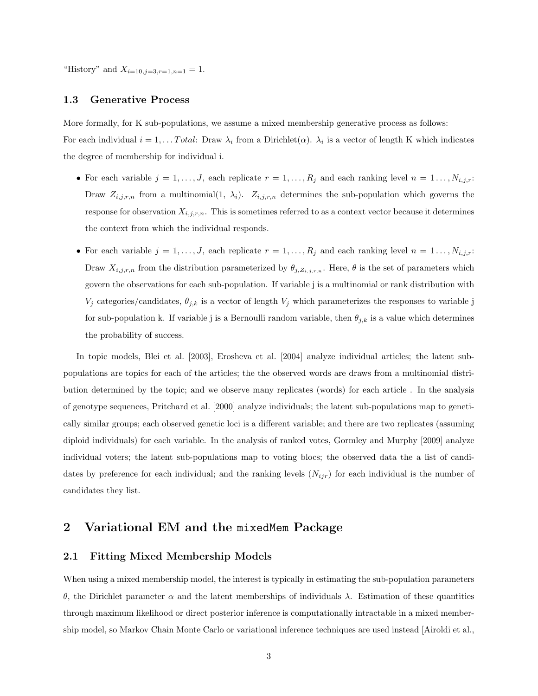"History" and  $X_{i=10, i=3, r=1, n=1} = 1$ .

#### 1.3 Generative Process

More formally, for K sub-populations, we assume a mixed membership generative process as follows: For each individual  $i = 1, \ldots Total$ : Draw  $\lambda_i$  from a Dirichlet $(\alpha)$ .  $\lambda_i$  is a vector of length K which indicates the degree of membership for individual i.

- For each variable  $j = 1, \ldots, J$ , each replicate  $r = 1, \ldots, R_j$  and each ranking level  $n = 1, \ldots, N_{i,j,r}$ : Draw  $Z_{i,j,r,n}$  from a multinomial(1,  $\lambda_i$ ).  $Z_{i,j,r,n}$  determines the sub-population which governs the response for observation  $X_{i,j,r,n}$ . This is sometimes referred to as a context vector because it determines the context from which the individual responds.
- For each variable  $j = 1, \ldots, J$ , each replicate  $r = 1, \ldots, R_j$  and each ranking level  $n = 1, \ldots, N_{i,j,r}$ : Draw  $X_{i,j,r,n}$  from the distribution parameterized by  $\theta_{j,Z_{i,j,r,n}}$ . Here,  $\theta$  is the set of parameters which govern the observations for each sub-population. If variable j is a multinomial or rank distribution with  $V_j$  categories/candidates,  $\theta_{j,k}$  is a vector of length  $V_j$  which parameterizes the responses to variable j for sub-population k. If variable j is a Bernoulli random variable, then  $\theta_{j,k}$  is a value which determines the probability of success.

In topic models, Blei et al. [2003], Erosheva et al. [2004] analyze individual articles; the latent subpopulations are topics for each of the articles; the the observed words are draws from a multinomial distribution determined by the topic; and we observe many replicates (words) for each article . In the analysis of genotype sequences, Pritchard et al. [2000] analyze individuals; the latent sub-populations map to genetically similar groups; each observed genetic loci is a different variable; and there are two replicates (assuming diploid individuals) for each variable. In the analysis of ranked votes, Gormley and Murphy [2009] analyze individual voters; the latent sub-populations map to voting blocs; the observed data the a list of candidates by preference for each individual; and the ranking levels  $(N_{ijr})$  for each individual is the number of candidates they list.

## 2 Variational EM and the mixedMem Package

### 2.1 Fitting Mixed Membership Models

When using a mixed membership model, the interest is typically in estimating the sub-population parameters θ, the Dirichlet parameter α and the latent memberships of individuals λ. Estimation of these quantities through maximum likelihood or direct posterior inference is computationally intractable in a mixed membership model, so Markov Chain Monte Carlo or variational inference techniques are used instead [Airoldi et al.,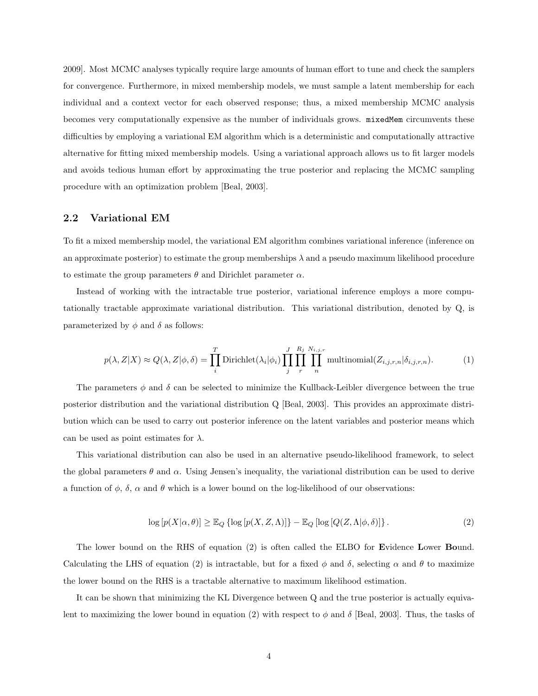2009]. Most MCMC analyses typically require large amounts of human effort to tune and check the samplers for convergence. Furthermore, in mixed membership models, we must sample a latent membership for each individual and a context vector for each observed response; thus, a mixed membership MCMC analysis becomes very computationally expensive as the number of individuals grows. mixedMem circumvents these difficulties by employing a variational EM algorithm which is a deterministic and computationally attractive alternative for fitting mixed membership models. Using a variational approach allows us to fit larger models and avoids tedious human effort by approximating the true posterior and replacing the MCMC sampling procedure with an optimization problem [Beal, 2003].

### 2.2 Variational EM

To fit a mixed membership model, the variational EM algorithm combines variational inference (inference on an approximate posterior) to estimate the group memberships  $\lambda$  and a pseudo maximum likelihood procedure to estimate the group parameters  $\theta$  and Dirichlet parameter  $\alpha$ .

Instead of working with the intractable true posterior, variational inference employs a more computationally tractable approximate variational distribution. This variational distribution, denoted by Q, is parameterized by  $\phi$  and  $\delta$  as follows:

$$
p(\lambda, Z|X) \approx Q(\lambda, Z|\phi, \delta) = \prod_{i}^{T} \text{Dirichlet}(\lambda_i|\phi_i) \prod_{j}^{J} \prod_{r}^{R_j} \prod_{n}^{N_{i,j,r}} \text{multinomial}(Z_{i,j,r,n}|\delta_{i,j,r,n}).
$$
 (1)

The parameters  $\phi$  and  $\delta$  can be selected to minimize the Kullback-Leibler divergence between the true posterior distribution and the variational distribution Q [Beal, 2003]. This provides an approximate distribution which can be used to carry out posterior inference on the latent variables and posterior means which can be used as point estimates for  $\lambda$ .

This variational distribution can also be used in an alternative pseudo-likelihood framework, to select the global parameters  $\theta$  and  $\alpha$ . Using Jensen's inequality, the variational distribution can be used to derive a function of  $\phi$ ,  $\delta$ ,  $\alpha$  and  $\theta$  which is a lower bound on the log-likelihood of our observations:

$$
\log [p(X|\alpha, \theta)] \geq \mathbb{E}_Q \left\{ \log [p(X, Z, \Lambda)] \right\} - \mathbb{E}_Q \left[ \log [Q(Z, \Lambda | \phi, \delta)] \right\}.
$$
\n(2)

The lower bound on the RHS of equation (2) is often called the ELBO for Evidence Lower Bound. Calculating the LHS of equation (2) is intractable, but for a fixed  $\phi$  and  $\delta$ , selecting  $\alpha$  and  $\theta$  to maximize the lower bound on the RHS is a tractable alternative to maximum likelihood estimation.

It can be shown that minimizing the KL Divergence between Q and the true posterior is actually equivalent to maximizing the lower bound in equation (2) with respect to  $\phi$  and  $\delta$  [Beal, 2003]. Thus, the tasks of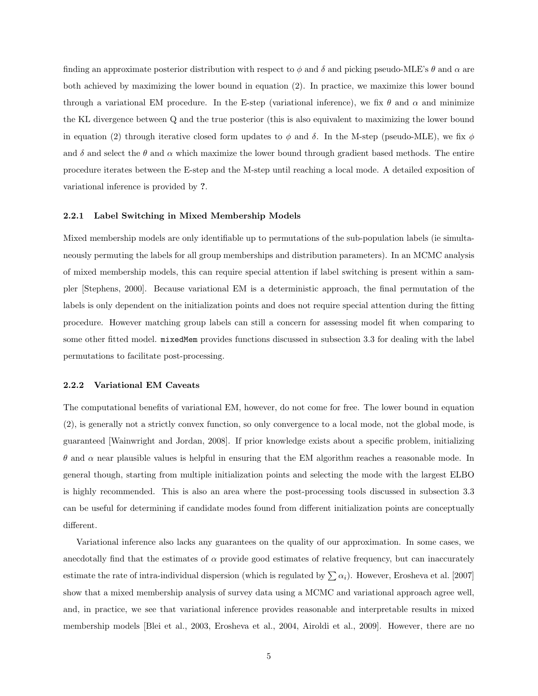finding an approximate posterior distribution with respect to  $\phi$  and  $\delta$  and picking pseudo-MLE's  $\theta$  and  $\alpha$  are both achieved by maximizing the lower bound in equation (2). In practice, we maximize this lower bound through a variational EM procedure. In the E-step (variational inference), we fix  $\theta$  and  $\alpha$  and minimize the KL divergence between Q and the true posterior (this is also equivalent to maximizing the lower bound in equation (2) through iterative closed form updates to  $\phi$  and  $\delta$ . In the M-step (pseudo-MLE), we fix  $\phi$ and  $\delta$  and select the  $\theta$  and  $\alpha$  which maximize the lower bound through gradient based methods. The entire procedure iterates between the E-step and the M-step until reaching a local mode. A detailed exposition of variational inference is provided by ?.

#### 2.2.1 Label Switching in Mixed Membership Models

Mixed membership models are only identifiable up to permutations of the sub-population labels (ie simultaneously permuting the labels for all group memberships and distribution parameters). In an MCMC analysis of mixed membership models, this can require special attention if label switching is present within a sampler [Stephens, 2000]. Because variational EM is a deterministic approach, the final permutation of the labels is only dependent on the initialization points and does not require special attention during the fitting procedure. However matching group labels can still a concern for assessing model fit when comparing to some other fitted model. mixedMem provides functions discussed in subsection 3.3 for dealing with the label permutations to facilitate post-processing.

#### 2.2.2 Variational EM Caveats

The computational benefits of variational EM, however, do not come for free. The lower bound in equation (2), is generally not a strictly convex function, so only convergence to a local mode, not the global mode, is guaranteed [Wainwright and Jordan, 2008]. If prior knowledge exists about a specific problem, initializing θ and α near plausible values is helpful in ensuring that the EM algorithm reaches a reasonable mode. In general though, starting from multiple initialization points and selecting the mode with the largest ELBO is highly recommended. This is also an area where the post-processing tools discussed in subsection 3.3 can be useful for determining if candidate modes found from different initialization points are conceptually different.

Variational inference also lacks any guarantees on the quality of our approximation. In some cases, we anecdotally find that the estimates of  $\alpha$  provide good estimates of relative frequency, but can inaccurately estimate the rate of intra-individual dispersion (which is regulated by  $\sum \alpha_i$ ). However, Erosheva et al. [2007] show that a mixed membership analysis of survey data using a MCMC and variational approach agree well, and, in practice, we see that variational inference provides reasonable and interpretable results in mixed membership models [Blei et al., 2003, Erosheva et al., 2004, Airoldi et al., 2009]. However, there are no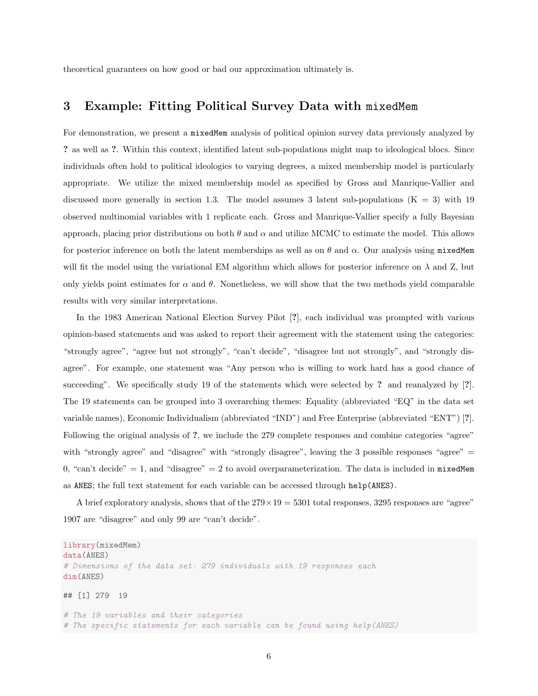theoretical guarantees on how good or bad our approximation ultimately is.

## 3 Example: Fitting Political Survey Data with mixedMem

For demonstration, we present a mixedMem analysis of political opinion survey data previously analyzed by ? as well as ?. Within this context, identified latent sub-populations might map to ideological blocs. Since individuals often hold to political ideologies to varying degrees, a mixed membership model is particularly appropriate. We utilize the mixed membership model as specified by Gross and Manrique-Vallier and discussed more generally in section 1.3. The model assumes 3 latent sub-populations  $(K = 3)$  with 19 observed multinomial variables with 1 replicate each. Gross and Manrique-Vallier specify a fully Bayesian approach, placing prior distributions on both  $\theta$  and  $\alpha$  and utilize MCMC to estimate the model. This allows for posterior inference on both the latent memberships as well as on  $\theta$  and  $\alpha$ . Our analysis using mixedMem will fit the model using the variational EM algorithm which allows for posterior inference on  $\lambda$  and Z, but only yields point estimates for  $\alpha$  and  $\theta$ . Nonetheless, we will show that the two methods yield comparable results with very similar interpretations.

In the 1983 American National Election Survey Pilot [?], each individual was prompted with various opinion-based statements and was asked to report their agreement with the statement using the categories: "strongly agree", "agree but not strongly", "can't decide", "disagree but not strongly", and "strongly disagree". For example, one statement was "Any person who is willing to work hard has a good chance of succeeding". We specifically study 19 of the statements which were selected by ? and reanalyzed by [?]. The 19 statements can be grouped into 3 overarching themes: Equality (abbreviated "EQ" in the data set variable names), Economic Individualism (abbreviated "IND") and Free Enterprise (abbreviated "ENT") [?]. Following the original analysis of ?, we include the 279 complete responses and combine categories "agree" with "strongly agree" and "disagree" with "strongly disagree", leaving the 3 possible responses "agree" = 0, "can't decide" = 1, and "disagree" = 2 to avoid overparameterization. The data is included in  $m$ ixedMem as ANES; the full text statement for each variable can be accessed through help(ANES).

A brief exploratory analysis, shows that of the  $279 \times 19 = 5301$  total responses, 3295 responses are "agree" 1907 are "disagree" and only 99 are "can't decide".

```
library(mixedMem)
data(ANES)
# Dimensions of the data set: 279 individuals with 19 responses each
dim(ANES)
## [1] 279 19
# The 19 variables and their categories
# The specific statements for each variable can be found using help(ANES)
```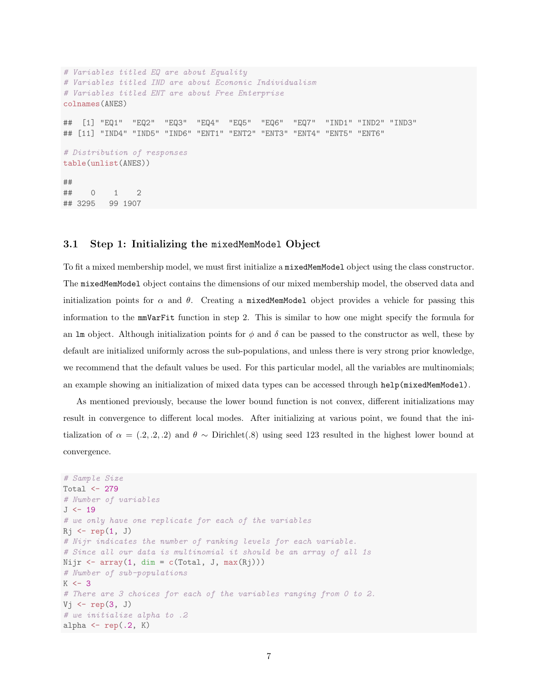```
# Variables titled EQ are about Equality
# Variables titled IND are about Econonic Individualism
# Variables titled ENT are about Free Enterprise
colnames(ANES)
## [1] "EQ1" "EQ2" "EQ3" "EQ4" "EQ5" "EQ6" "EQ7" "IND1" "IND2" "IND3"
## [11] "IND4" "IND5" "IND6" "ENT1" "ENT2" "ENT3" "ENT4" "ENT5" "ENT6"
# Distribution of responses
table(unlist(ANES))
##
## 0 1 2
## 3295 99 1907
```
## 3.1 Step 1: Initializing the mixedMemModel Object

To fit a mixed membership model, we must first initialize a mixedMemModel object using the class constructor. The mixedMemModel object contains the dimensions of our mixed membership model, the observed data and initialization points for  $\alpha$  and  $\theta$ . Creating a mixedMemModel object provides a vehicle for passing this information to the mmVarFit function in step 2. This is similar to how one might specify the formula for an lm object. Although initialization points for  $\phi$  and  $\delta$  can be passed to the constructor as well, these by default are initialized uniformly across the sub-populations, and unless there is very strong prior knowledge, we recommend that the default values be used. For this particular model, all the variables are multinomials; an example showing an initialization of mixed data types can be accessed through help(mixedMemModel).

As mentioned previously, because the lower bound function is not convex, different initializations may result in convergence to different local modes. After initializing at various point, we found that the initialization of  $\alpha = (0.2, 0.2, 0.2)$  and  $\theta \sim$  Dirichlet(.8) using seed 123 resulted in the highest lower bound at convergence.

```
# Sample Size
Total \leftarrow 279
# Number of variables
J < -19# we only have one replicate for each of the variables
Rj \leftarrow rep(1, J)# Nijr indicates the number of ranking levels for each variable.
# Since all our data is multinomial it should be an array of all 1s
Nijr \leq array(1, dim = c(Total, J, max(Rj)))
# Number of sub-populations
K \leftarrow 3# There are 3 choices for each of the variables ranging from 0 to 2.
Vj \leftarrow rep(3, J)
# we initialize alpha to .2
alpha \leftarrow \text{rep}(.2, K)
```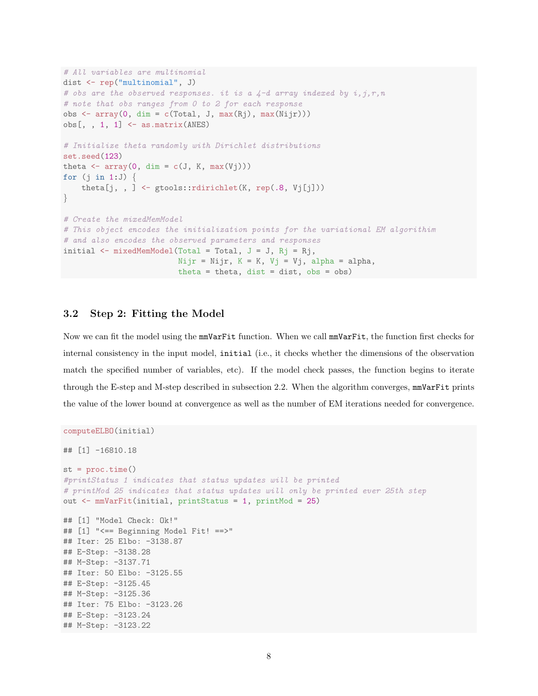```
# All variables are multinomial
dist <- rep("multinomial", J)
# obs are the observed responses. it is a \frac{1}{4} array indexed by i, j, r, n
# note that obs ranges from 0 to 2 for each response
obs \leq array(0, dim = c(Total, J, max(Rj), max(Nijr)))
obs[,, 1, 1] \leftarrow as.matrix(ANES)
# Initialize theta randomly with Dirichlet distributions
set.seed(123)
theta \leftarrow \text{array}(0, \text{ dim} = c(J, K, \text{ max}(Vj)))for (j \in \{1:J\}) {
    theta[j, , ] <- gtools::rdirichlet(K, rep(.8, Vj[j]))
}
# Create the mixedMemModel
# This object encodes the initialization points for the variational EM algorithim
# and also encodes the observed parameters and responses
initial \leq mixedMemModel(Total = Total, J = J, Rj = Rj,
                           Nijr = Nijr, K = K, Vj = Vj, alpha = alpha,
                           theta = theta, dist = dist, obs = obs)
```
## 3.2 Step 2: Fitting the Model

Now we can fit the model using the mmVarFit function. When we call mmVarFit, the function first checks for internal consistency in the input model, initial (i.e., it checks whether the dimensions of the observation match the specified number of variables, etc). If the model check passes, the function begins to iterate through the E-step and M-step described in subsection 2.2. When the algorithm converges,  $mmVarFit$  prints the value of the lower bound at convergence as well as the number of EM iterations needed for convergence.

```
computeELBO(initial)
## [1] -16810.18
st = proc.time()#printStatus 1 indicates that status updates will be printed
# printMod 25 indicates that status updates will only be printed ever 25th step
out <- mmVarFit(initial, printStatus = 1, printMod = 25)
## [1] "Model Check: Ok!"
## [1] "<== Beginning Model Fit! ==>"
## Iter: 25 Elbo: -3138.87
## E-Step: -3138.28
## M-Step: -3137.71
## Iter: 50 Elbo: -3125.55
## E-Step: -3125.45
## M-Step: -3125.36
## Iter: 75 Elbo: -3123.26
## E-Step: -3123.24
## M-Step: -3123.22
```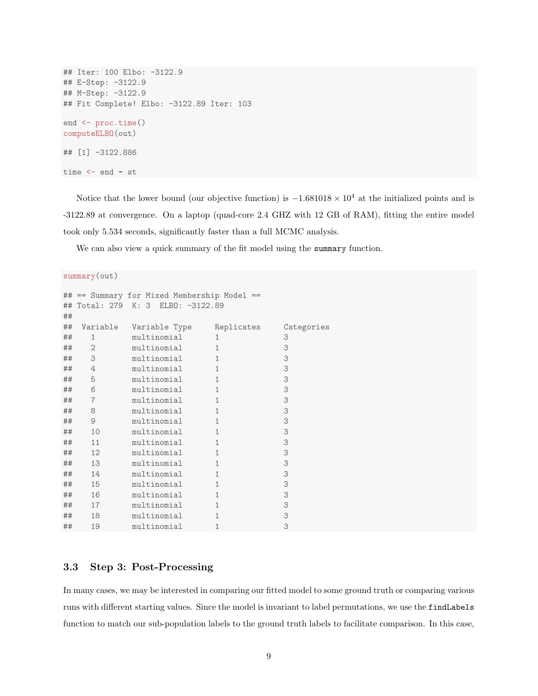```
## Iter: 100 Elbo: -3122.9
## E-Step: -3122.9
## M-Step: -3122.9
## Fit Complete! Elbo: -3122.89 Iter: 103
end <- proc.time()
computeELBO(out)
## [1] -3122.886
time <- end - st
```
Notice that the lower bound (our objective function) is  $-1.681018 \times 10^4$  at the initialized points and is -3122.89 at convergence. On a laptop (quad-core 2.4 GHZ with 12 GB of RAM), fitting the entire model took only 5.534 seconds, significantly faster than a full MCMC analysis.

We can also view a quick summary of the fit model using the summary function.

```
summary(out)
## == Summary for Mixed Membership Model ==
## Total: 279 K: 3 ELBO: -3122.89
##
## Variable Variable Type Replicates Categories
## 1 multinomial 1 3
## 2 multinomial 1 3
## 3 multinomial 1 3
## 4 multinomial 1 3
## 5 multinomial 1 3
## 6 multinomial 1 3
## 7 multinomial 1 3
## 8 multinomial 1 3
## 9 multinomial 1 3
## 10 multinomial 1 3
## 11 multinomial 1 3
## 12 multinomial 1 3
## 13 multinomial 1 3
## 14 multinomial 1 3
## 15 multinomial 1 3
## 16 multinomial 1 3
## 17 multinomial 1 3
## 18 multinomial 1 3
## 19 multinomial 1 3
```
## 3.3 Step 3: Post-Processing

In many cases, we may be interested in comparing our fitted model to some ground truth or comparing various runs with different starting values. Since the model is invariant to label permutations, we use the findLabels function to match our sub-population labels to the ground truth labels to facilitate comparison. In this case,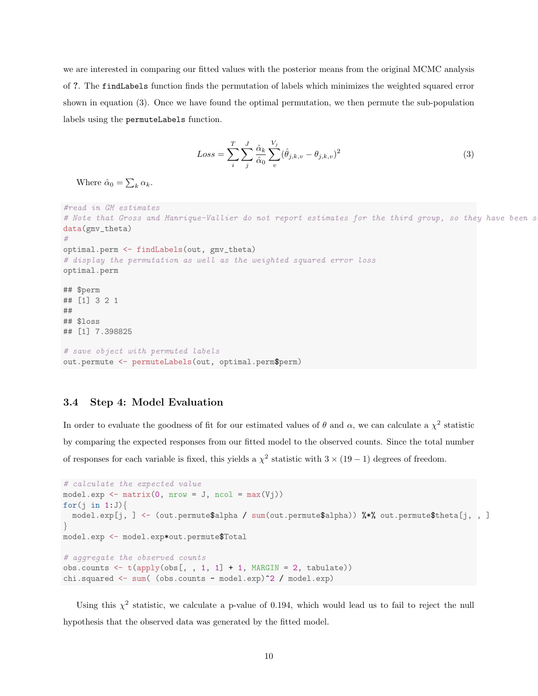we are interested in comparing our fitted values with the posterior means from the original MCMC analysis of ?. The findLabels function finds the permutation of labels which minimizes the weighted squared error shown in equation (3). Once we have found the optimal permutation, we then permute the sub-population labels using the permuteLabels function.

$$
Loss = \sum_{i}^{T} \sum_{j}^{J} \frac{\hat{\alpha}_k}{\hat{\alpha}_0} \sum_{v}^{V_j} (\hat{\theta}_{j,k,v} - \theta_{j,k,v})^2
$$
\n(3)

Where  $\hat{\alpha}_0 = \sum_k \alpha_k$ .

```
#read in GM estimates
# Note that Gross and Manrique-Vallier do not report estimates for the third group, so they have been s
data(gmv_theta)
#
optimal.perm <- findLabels(out, gmv_theta)
# display the permutation as well as the weighted squared error loss
optimal.perm
## $perm
## [1] 3 2 1
##
## $loss
## [1] 7.398825
# save object with permuted labels
out.permute <- permuteLabels(out, optimal.perm$perm)
```
## 3.4 Step 4: Model Evaluation

In order to evaluate the goodness of fit for our estimated values of  $\theta$  and  $\alpha$ , we can calculate a  $\chi^2$  statistic by comparing the expected responses from our fitted model to the observed counts. Since the total number of responses for each variable is fixed, this yields a  $\chi^2$  statistic with  $3 \times (19-1)$  degrees of freedom.

```
# calculate the expected value
model.exp \leq matrix(0, nrow = J, ncol = max(Vj))
for(i in 1:J}
 model.exp[j, ] <- (out.permute$alpha / sum(out.permute$alpha)) %*% out.permute$theta[j, , ]
}
model.exp <- model.exp*out.permute$Total
# aggregate the observed counts
obs.counts \leftarrow t(apply(obs[, , 1, 1] + 1, MARGIN = 2, tabulate))
chi.squared <- sum( (obs.counts - model.exp)^2 / model.exp)
```
Using this  $\chi^2$  statistic, we calculate a p-value of 0.194, which would lead us to fail to reject the null hypothesis that the observed data was generated by the fitted model.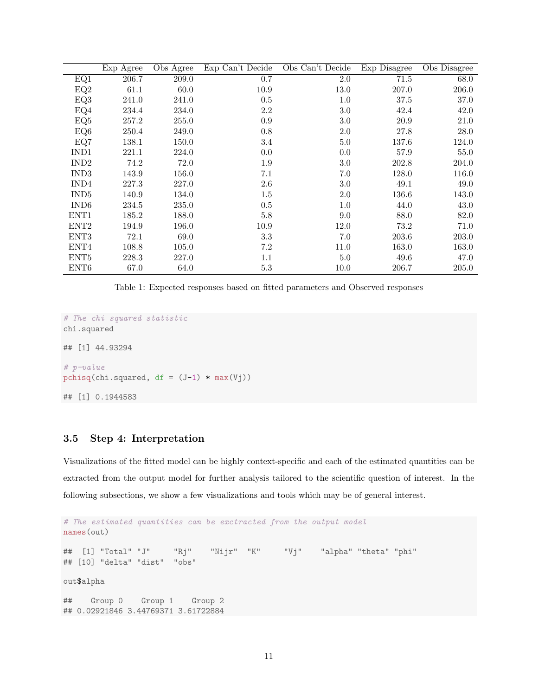|                  | Exp Agree | Obs Agree | Exp Can't Decide | Obs Can't Decide | Exp Disagree | Obs Disagree |
|------------------|-----------|-----------|------------------|------------------|--------------|--------------|
| EQ1              | 206.7     | 209.0     | 0.7              | $2.0\,$          | 71.5         | 68.0         |
| EQ2              | 61.1      | 60.0      | 10.9             | 13.0             | 207.0        | 206.0        |
| EQ3              | 241.0     | 241.0     | 0.5              | 1.0              | 37.5         | 37.0         |
| EQ4              | 234.4     | 234.0     | 2.2              | 3.0              | 42.4         | 42.0         |
| EQ5              | 257.2     | 255.0     | 0.9              | 3.0              | 20.9         | 21.0         |
| EQ6              | 250.4     | 249.0     | 0.8              | 2.0              | 27.8         | 28.0         |
| EQ7              | 138.1     | 150.0     | 3.4              | 5.0              | 137.6        | 124.0        |
| IND1             | 221.1     | 224.0     | 0.0              | 0.0              | 57.9         | 55.0         |
| IND <sub>2</sub> | 74.2      | 72.0      | $1.9\,$          | 3.0              | 202.8        | 204.0        |
| IND <sub>3</sub> | 143.9     | 156.0     | 7.1              | 7.0              | 128.0        | 116.0        |
| IND4             | 227.3     | 227.0     | 2.6              | 3.0              | 49.1         | 49.0         |
| IND <sub>5</sub> | 140.9     | 134.0     | $1.5\,$          | 2.0              | 136.6        | 143.0        |
| IND <sub>6</sub> | 234.5     | 235.0     | $0.5\,$          | 1.0              | 44.0         | 43.0         |
| ENT <sub>1</sub> | 185.2     | 188.0     | 5.8              | 9.0              | 88.0         | 82.0         |
| ENT <sub>2</sub> | 194.9     | 196.0     | 10.9             | 12.0             | 73.2         | 71.0         |
| ENT <sub>3</sub> | 72.1      | 69.0      | 3.3              | 7.0              | 203.6        | 203.0        |
| ENT4             | 108.8     | 105.0     | 7.2              | 11.0             | 163.0        | 163.0        |
| ENT <sub>5</sub> | 228.3     | 227.0     | $1.1\,$          | 5.0              | 49.6         | 47.0         |
| ENT <sub>6</sub> | 67.0      | 64.0      | 5.3              | 10.0             | 206.7        | 205.0        |

Table 1: Expected responses based on fitted parameters and Observed responses

```
# The chi squared statistic
chi.squared
## [1] 44.93294
# p-value
pchisq(chi.squared, df = (J-1) * max(Vj))
## [1] 0.1944583
```
## 3.5 Step 4: Interpretation

Visualizations of the fitted model can be highly context-specific and each of the estimated quantities can be extracted from the output model for further analysis tailored to the scientific question of interest. In the following subsections, we show a few visualizations and tools which may be of general interest.

```
# The estimated quantities can be exctracted from the output model
names(out)
## [1] "Total" "J" "Rj" "Nijr" "K" "Vj" "alpha" "theta" "phi"
## [10] "delta" "dist" "obs"
out$alpha
## Group 0 Group 1 Group 2
## 0.02921846 3.44769371 3.61722884
```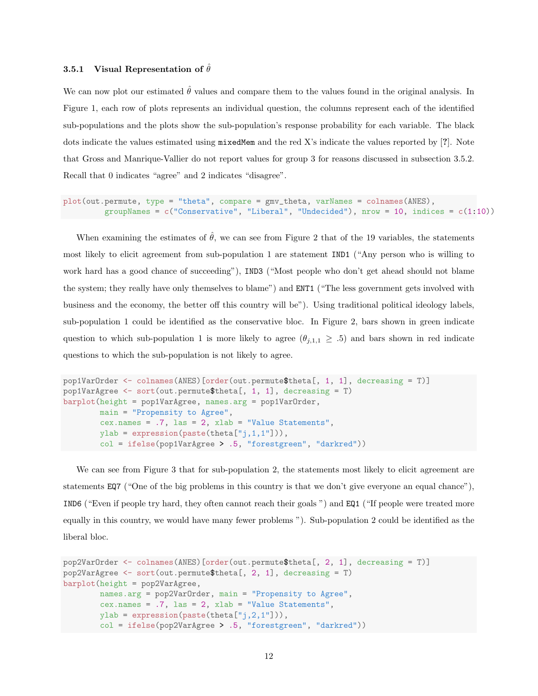#### 3.5.1 Visual Representation of  $\hat{\theta}$

We can now plot our estimated  $\hat{\theta}$  values and compare them to the values found in the original analysis. In Figure 1, each row of plots represents an individual question, the columns represent each of the identified sub-populations and the plots show the sub-population's response probability for each variable. The black dots indicate the values estimated using mixedMem and the red X's indicate the values reported by [?]. Note that Gross and Manrique-Vallier do not report values for group 3 for reasons discussed in subsection 3.5.2. Recall that 0 indicates "agree" and 2 indicates "disagree".

```
plot(out.permute, type = "theta", compare = gmv_theta, varNames = colnames(ANES),
         groupNames = c("Conservative", "Liberal", "Undecided"), nrow = 10, indices = c(1:10))
```
When examining the estimates of  $\hat{\theta}$ , we can see from Figure 2 that of the 19 variables, the statements most likely to elicit agreement from sub-population 1 are statement IND1 ("Any person who is willing to work hard has a good chance of succeeding"), IND3 ("Most people who don't get ahead should not blame the system; they really have only themselves to blame") and ENT1 ("The less government gets involved with business and the economy, the better off this country will be"). Using traditional political ideology labels, sub-population 1 could be identified as the conservative bloc. In Figure 2, bars shown in green indicate question to which sub-population 1 is more likely to agree  $(\theta_{j,1,1} \geq .5)$  and bars shown in red indicate questions to which the sub-population is not likely to agree.

```
pop1VarOrder <- colnames(ANES)[order(out.permute$theta[, 1, 1], decreasing = T)]
pop1VarAgree \leq sort(out.permute$theta[, 1, 1], decreasing = T)
barplot(height = pop1VarAgree, names.arg = pop1VarOrder,
        main = "Propensity to Agree",
        cex.name = .7, las = 2, xlab = "Value Statements",
        ylab = expression(paste(theta["j,1,1"])),
        col = ifelse(pop1VarAgree > .5, "forestgreen", "darkred"))
```
We can see from Figure 3 that for sub-population 2, the statements most likely to elicit agreement are statements EQ7 ("One of the big problems in this country is that we don't give everyone an equal chance"), IND6 ("Even if people try hard, they often cannot reach their goals ") and EQ1 ("If people were treated more equally in this country, we would have many fewer problems "). Sub-population 2 could be identified as the liberal bloc.

```
pop2VarOrder <- colnames(ANES)[order(out.permute$theta[, 2, 1], decreasing = T)]
pop2VarAgree <- sort(out.permute$theta[, 2, 1], decreasing = T)
barplot(height = pop2VarAgree,
       names.arg = pop2VarOrder, main = "Propensity to Agree",
        cex.names = .7, las = 2, xlab = "Value Statements",
       ylab = expression(paste(theta["j,2,1"])),
        col = ifelse(pop2VarAgree > .5, "forestgreen", "darkred"))
```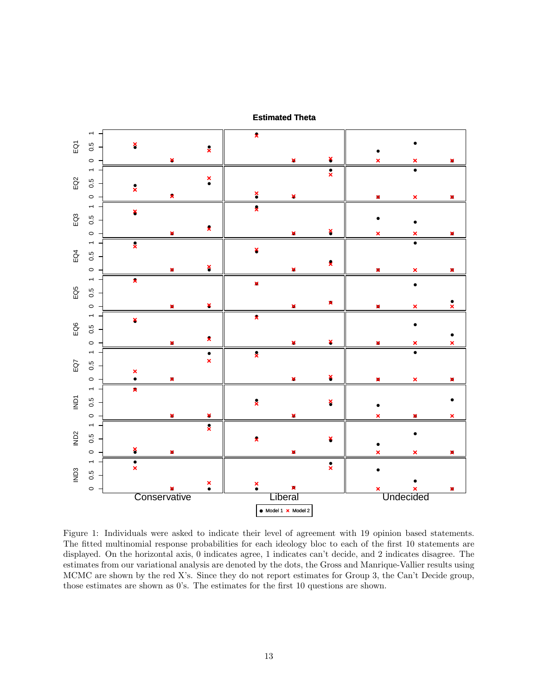

**Estimated Theta**

Figure 1: Individuals were asked to indicate their level of agreement with 19 opinion based statements. The fitted multinomial response probabilities for each ideology bloc to each of the first 10 statements are displayed. On the horizontal axis, 0 indicates agree, 1 indicates can't decide, and 2 indicates disagree. The estimates from our variational analysis are denoted by the dots, the Gross and Manrique-Vallier results using MCMC are shown by the red X's. Since they do not report estimates for Group 3, the Can't Decide group, those estimates are shown as 0's. The estimates for the first 10 questions are shown.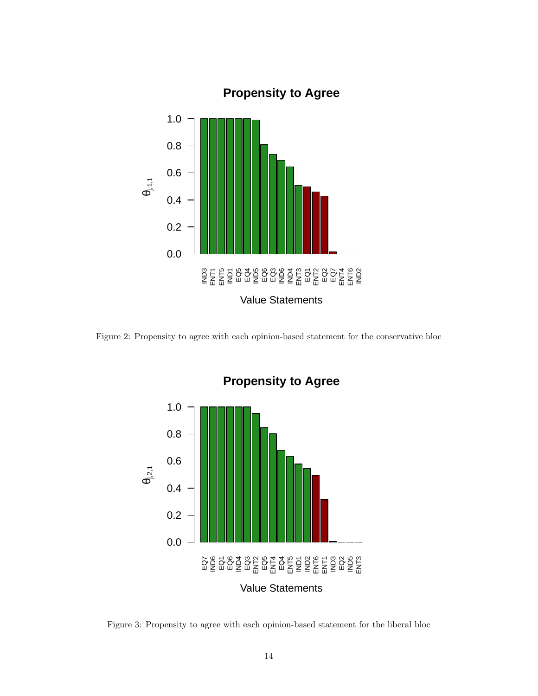

Figure 2: Propensity to agree with each opinion-based statement for the conservative bloc



# **Propensity to Agree**

Figure 3: Propensity to agree with each opinion-based statement for the liberal bloc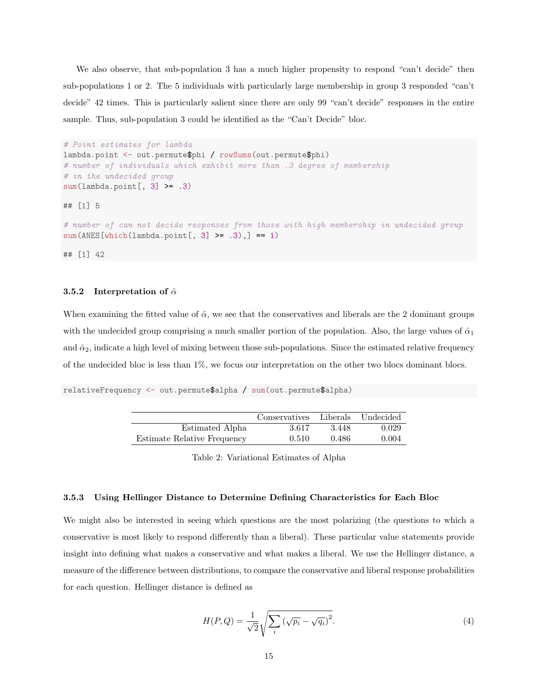We also observe, that sub-population 3 has a much higher propensity to respond "can't decide" then sub-populations 1 or 2. The 5 individuals with particularly large membership in group 3 responded "can't decide" 42 times. This is particularly salient since there are only 99 "can't decide" responses in the entire sample. Thus, sub-population 3 could be identified as the "Can't Decide" bloc.

```
# Point estimates for lambda
lambda.point <- out.permute$phi / rowSums(out.permute$phi)
# number of individuals which exhibit more than .3 degree of membership
# in the undecided group
sum(lambda.point[, 3] >= .3)
## [1] 5
# number of can not decide responses from those with high membership in undecided group
sum(ANES[which(lambda.point[, 3] > = .3),] == 1)## [1] 42
```
#### 3.5.2 Interpretation of  $\hat{\alpha}$

When examining the fitted value of  $\hat{\alpha}$ , we see that the conservatives and liberals are the 2 dominant groups with the undecided group comprising a much smaller portion of the population. Also, the large values of  $\hat{\alpha}_1$ and  $\hat{\alpha}_2$ , indicate a high level of mixing between those sub-populations. Since the estimated relative frequency of the undecided bloc is less than 1%, we focus our interpretation on the other two blocs dominant blocs.

relativeFrequency <- out.permute\$alpha / sum(out.permute\$alpha)

|                             | Conservatives Liberals |       | Undecided |
|-----------------------------|------------------------|-------|-----------|
| Estimated Alpha             | 3.617                  | 3.448 | 0.029     |
| Estimate Relative Frequency | 0.510                  | 0.486 | 0.004     |

Table 2: Variational Estimates of Alpha

#### 3.5.3 Using Hellinger Distance to Determine Defining Characteristics for Each Bloc

We might also be interested in seeing which questions are the most polarizing (the questions to which a conservative is most likely to respond differently than a liberal). These particular value statements provide insight into defining what makes a conservative and what makes a liberal. We use the Hellinger distance, a measure of the difference between distributions, to compare the conservative and liberal response probabilities for each question. Hellinger distance is defined as

$$
H(P,Q) = \frac{1}{\sqrt{2}} \sqrt{\sum_{i} \left(\sqrt{p_i} - \sqrt{q_i}\right)^2}.
$$
\n
$$
(4)
$$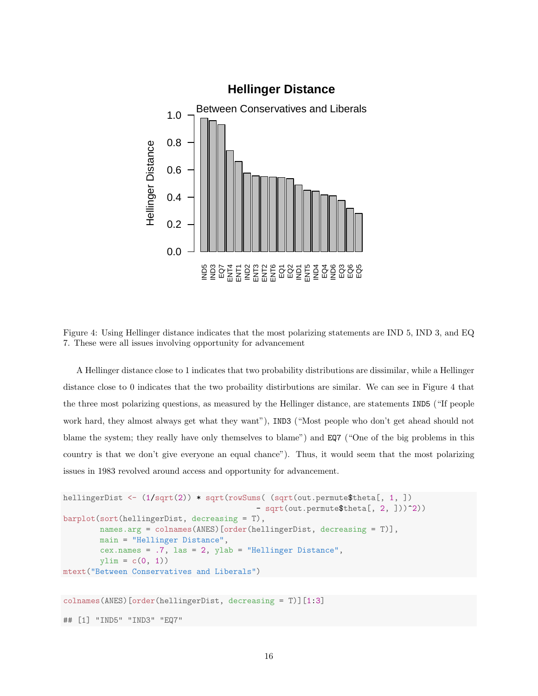

Figure 4: Using Hellinger distance indicates that the most polarizing statements are IND 5, IND 3, and EQ 7. These were all issues involving opportunity for advancement

A Hellinger distance close to 1 indicates that two probability distributions are dissimilar, while a Hellinger distance close to 0 indicates that the two probaility distirbutions are similar. We can see in Figure 4 that the three most polarizing questions, as measured by the Hellinger distance, are statements IND5 ("If people work hard, they almost always get what they want"), IND3 ("Most people who don't get ahead should not blame the system; they really have only themselves to blame") and EQ7 ("One of the big problems in this country is that we don't give everyone an equal chance"). Thus, it would seem that the most polarizing issues in 1983 revolved around access and opportunity for advancement.

```
hellingerDist <- (1/sqrt(2)) * sqrt(rowSums( (sqrt(out.permute$theta[, 1, ])
                                          - sqrt(out.permute$theta[, 2, ]))^2))
barplot(sort(hellingerDist, decreasing = T),
       names.arg = colnames(ANES)[order(hellingerDist, decreasing = T)],
       main = "Hellinger Distance",
        cex.names = .7, las = 2, ylab = "Hellinger Distance",
        ylim = c(0, 1)mtext("Between Conservatives and Liberals")
colnames(ANES)[order(hellingerDist, decreasing = T)][1:3]
```
## [1] "IND5" "IND3" "EQ7"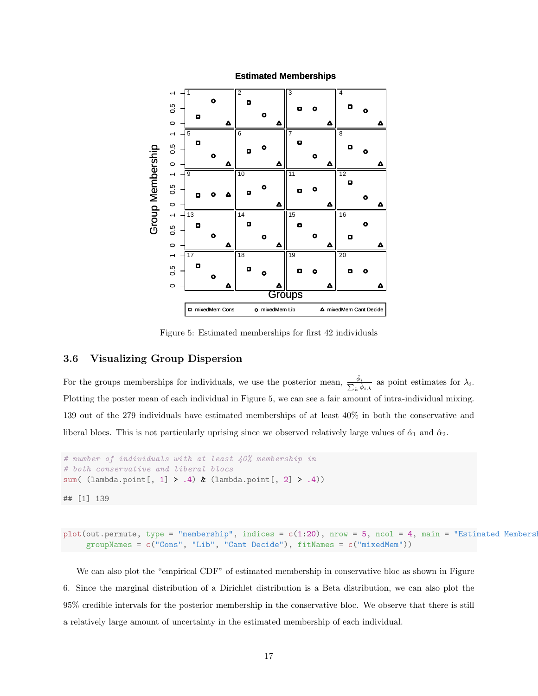

#### **Estimated Memberships**

Figure 5: Estimated memberships for first 42 individuals

## 3.6 Visualizing Group Dispersion

For the groups memberships for individuals, we use the posterior mean,  $\frac{\hat{\phi}_i}{\sum_k \hat{\phi}_{i,k}}$  as point estimates for  $\lambda_i$ . Plotting the poster mean of each individual in Figure 5, we can see a fair amount of intra-individual mixing. 139 out of the 279 individuals have estimated memberships of at least 40% in both the conservative and liberal blocs. This is not particularly uprising since we observed relatively large values of  $\hat{\alpha}_1$  and  $\hat{\alpha}_2$ .

```
# number of individuals with at least 40% membership in
# both conservative and liberal blocs
sum( (lambda.point[, 1] > .4) & (lambda.point[, 2] > .4)
```
## [1] 139

```
plot(out.permute, type = "membership", indices = c(1:20), nrow = 5, ncol = 4, main = "Estimated Members
     groupNames = c("Cons", "Lib", "Cant Decide"), fitNames = c("mixedMem"))
```
We can also plot the "empirical CDF" of estimated membership in conservative bloc as shown in Figure 6. Since the marginal distribution of a Dirichlet distribution is a Beta distribution, we can also plot the 95% credible intervals for the posterior membership in the conservative bloc. We observe that there is still a relatively large amount of uncertainty in the estimated membership of each individual.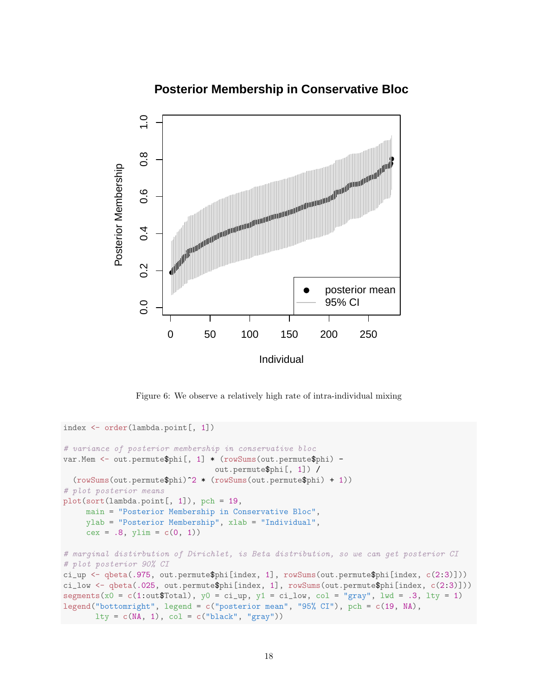# **Posterior Membership in Conservative Bloc**



Figure 6: We observe a relatively high rate of intra-individual mixing

```
index <- order(lambda.point[, 1])
# variance of posterior membership in conservative bloc
var.Mem <- out.permute$phi[, 1] * (rowSums(out.permute$phi) -
                                 out.permute$phi[, 1]) /
  (rowSums(out.permute$phi)^2 * (rowSums(out.permute$phi) + 1))
# plot posterior means
plot(sort(lambda.point[, 1]), pch = 19,
     main = "Posterior Membership in Conservative Bloc",
     ylab = "Posterior Membership", xlab = "Individual",
     cex = .8, ylim = c(0, 1)# marginal distirbution of Dirichlet, is Beta distribution, so we can get posterior CI
# plot posterior 90% CI
ci_up <- qbeta(.975, out.permute$phi[index, 1], rowSums(out.permute$phi[index, c(2:3)]))
ci_low <- qbeta(.025, out.permute$phi[index, 1], rowSums(out.permute$phi[index, c(2:3)]))
segments(x0 = c(1:out$Total), y0 = ci\mu p, y1 = ci\mu q, col = "gray", \mu d = .3, \mu y = 1)legend("bottomright", legend = c("posterior mean", "95% CI"), pch = c(19, NA),
      lty = c(MA, 1), col = c("black", "gray")
```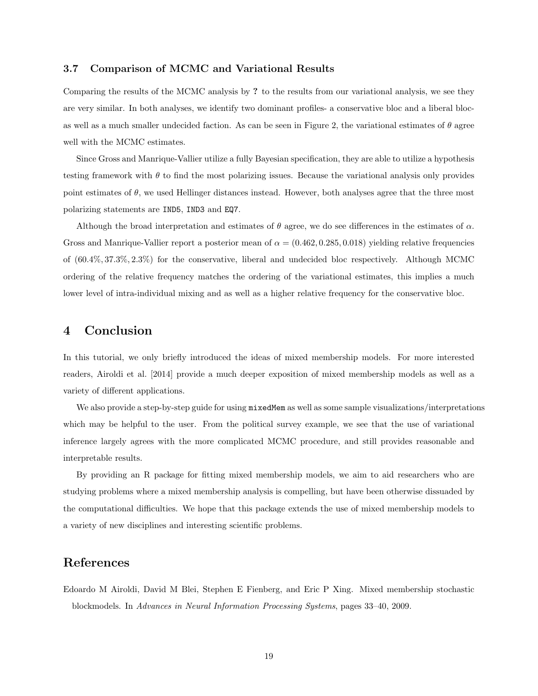#### 3.7 Comparison of MCMC and Variational Results

Comparing the results of the MCMC analysis by ? to the results from our variational analysis, we see they are very similar. In both analyses, we identify two dominant profiles- a conservative bloc and a liberal blocas well as a much smaller undecided faction. As can be seen in Figure 2, the variational estimates of  $\theta$  agree well with the MCMC estimates.

Since Gross and Manrique-Vallier utilize a fully Bayesian specification, they are able to utilize a hypothesis testing framework with  $\theta$  to find the most polarizing issues. Because the variational analysis only provides point estimates of  $\theta$ , we used Hellinger distances instead. However, both analyses agree that the three most polarizing statements are IND5, IND3 and EQ7.

Although the broad interpretation and estimates of  $\theta$  agree, we do see differences in the estimates of  $\alpha$ . Gross and Manrique-Vallier report a posterior mean of  $\alpha = (0.462, 0.285, 0.018)$  yielding relative frequencies of (60.4%, 37.3%, 2.3%) for the conservative, liberal and undecided bloc respectively. Although MCMC ordering of the relative frequency matches the ordering of the variational estimates, this implies a much lower level of intra-individual mixing and as well as a higher relative frequency for the conservative bloc.

# 4 Conclusion

In this tutorial, we only briefly introduced the ideas of mixed membership models. For more interested readers, Airoldi et al. [2014] provide a much deeper exposition of mixed membership models as well as a variety of different applications.

We also provide a step-by-step guide for using  $m$  is a well as some sample visualizations/interpretations which may be helpful to the user. From the political survey example, we see that the use of variational inference largely agrees with the more complicated MCMC procedure, and still provides reasonable and interpretable results.

By providing an R package for fitting mixed membership models, we aim to aid researchers who are studying problems where a mixed membership analysis is compelling, but have been otherwise dissuaded by the computational difficulties. We hope that this package extends the use of mixed membership models to a variety of new disciplines and interesting scientific problems.

# References

Edoardo M Airoldi, David M Blei, Stephen E Fienberg, and Eric P Xing. Mixed membership stochastic blockmodels. In Advances in Neural Information Processing Systems, pages 33–40, 2009.